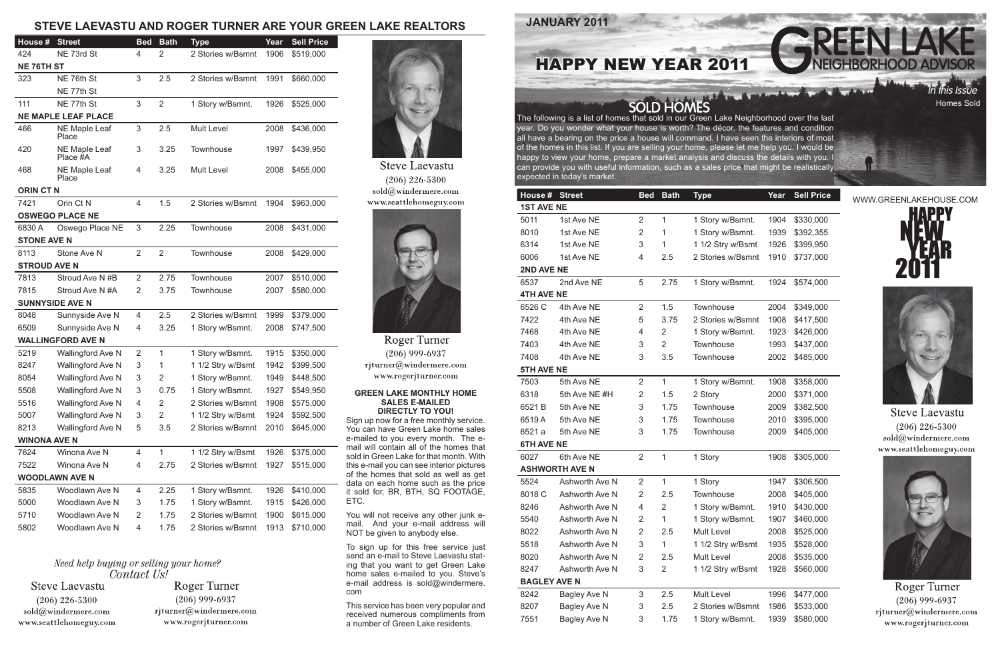**JANUARY 2011**

**SOLD HOMES** 







**Steve Laevastu**  $(206)$  226-5300  $\text{cold}(\textit{a})$ windermere.com www.seattlehomeguy.com



Roger Turner  $(206)$  999-6937 rjturner@windermere.com www.rogerjturner.com

The following is a list of homes that sold in our Green Lake Neighborhood over the last year. Do you wonder what your house is worth? The décor, the features and condition all have a bearing on the price a house will command. I have seen the interiors of most of the homes in this list. If you are selling your home, please let me help you. I would be happy to view your home, prepare a market analysis and discuss the details with you. I can provide you with useful information, such as a sales price that might be realistically expected in today's market.

## **GREEN LAKE MONTHLY HOME SALES E-MAILED DIRECTLY TO YOU!**

Sign up now for a free monthly service. You can have Green Lake home sales e-mailed to you every month. The email will contain all of the homes that sold in Green Lake for that month. With this e-mail you can see interior pictures of the homes that sold as well as get data on each home such as the price it sold for, BR, BTH, SQ FOOTAGE, ETC.

You will not receive any other junk email. And your e-mail address will NOT be given to anybody else.

To sign up for this free service just send an e-mail to Steve Laevastu stating that you want to get Green Lake home sales e-mailed to you. Steve's e-mail address is sold@windermere. com

This service has been very popular and received numerous compliments from a number of Green Lake residents.

## **STEVE LAEVASTU AND ROGER TURNER ARE YOUR GREEN LAKE REALTORS**



| House #             | <b>Street</b>         | <b>Bed</b>     | <b>Bath</b>  | <b>Type</b>       | Year | <b>Sell Price</b> |  |  |  |  |
|---------------------|-----------------------|----------------|--------------|-------------------|------|-------------------|--|--|--|--|
| <b>1ST AVE NE</b>   |                       |                |              |                   |      |                   |  |  |  |  |
| 5011                | 1st Ave NE            | 2              | $\mathbf{1}$ | 1 Story w/Bsmnt.  | 1904 | \$330,000         |  |  |  |  |
| 8010                | 1st Ave NE            | 2              | 1            | 1 Story w/Bsmnt.  | 1939 | \$392,355         |  |  |  |  |
| 6314                | 1st Ave NE            | 3              | 1            | 1 1/2 Stry w/Bsmt | 1926 | \$399,950         |  |  |  |  |
| 6006                | 1st Ave NE            | 4              | 2.5          | 2 Stories w/Bsmnt | 1910 | \$737,000         |  |  |  |  |
| 2ND AVE NE          |                       |                |              |                   |      |                   |  |  |  |  |
| 6537                | 2nd Ave NE            | 5              | 2.75         | 1 Story w/Bsmnt.  | 1924 | \$574,000         |  |  |  |  |
| <b>4TH AVE NE</b>   |                       |                |              |                   |      |                   |  |  |  |  |
| 6526 C              | 4th Ave NE            | $\overline{2}$ | 1.5          | Townhouse         | 2004 | \$349,000         |  |  |  |  |
| 7422                | 4th Ave NE            | 5              | 3.75         | 2 Stories w/Bsmnt | 1908 | \$417,500         |  |  |  |  |
| 7468                | 4th Ave NE            | 4              | 2            | 1 Story w/Bsmnt.  | 1923 | \$426,000         |  |  |  |  |
| 7403                | 4th Ave NE            | 3              | 2            | Townhouse         | 1993 | \$437,000         |  |  |  |  |
| 7408                | 4th Ave NE            | 3              | 3.5          | Townhouse         | 2002 | \$485,000         |  |  |  |  |
| <b>5TH AVE NE</b>   |                       |                |              |                   |      |                   |  |  |  |  |
| 7503                | 5th Ave NE            | $\overline{2}$ | $\mathbf{1}$ | 1 Story w/Bsmnt.  | 1908 | \$358,000         |  |  |  |  |
| 6318                | 5th Ave NE #H         | 2              | 1.5          | 2 Story           | 2000 | \$371,000         |  |  |  |  |
| 6521 B              | 5th Ave NE            | 3              | 1.75         | <b>Townhouse</b>  | 2009 | \$382,500         |  |  |  |  |
| 6519A               | 5th Ave NE            | 3              | 1.75         | Townhouse         | 2010 | \$395,000         |  |  |  |  |
| 6521 a              | 5th Ave NE            | 3              | 1.75         | <b>Townhouse</b>  | 2009 | \$405,000         |  |  |  |  |
| <b>6TH AVE NE</b>   |                       |                |              |                   |      |                   |  |  |  |  |
| 6027                | 6th Ave NE            | $\overline{2}$ | 1            | 1 Story           | 1908 | \$305,000         |  |  |  |  |
|                     | <b>ASHWORTH AVE N</b> |                |              |                   |      |                   |  |  |  |  |
| 5524                | Ashworth Ave N        | 2              | $\mathbf{1}$ | 1 Story           | 1947 | \$306,500         |  |  |  |  |
| 8018 C              | Ashworth Ave N        | 2              | 2.5          | Townhouse         | 2008 | \$405,000         |  |  |  |  |
| 8246                | Ashworth Ave N        | 4              | 2            | 1 Story w/Bsmnt.  | 1910 | \$430,000         |  |  |  |  |
| 5540                | Ashworth Ave N        | 2              | 1            | 1 Story w/Bsmnt.  | 1907 | \$460,000         |  |  |  |  |
| 8022                | Ashworth Ave N        | 2              | 2.5          | Mult Level        | 2008 | \$525,000         |  |  |  |  |
| 5518                | Ashworth Ave N        | 3              | 1            | 1 1/2 Stry w/Bsmt | 1935 | \$528,000         |  |  |  |  |
| 8020                | Ashworth Ave N        | $\overline{2}$ | 2.5          | Mult Level        | 2008 | \$535,000         |  |  |  |  |
| 8247                | Ashworth Ave N        | 3              | 2            | 1 1/2 Stry w/Bsmt | 1928 | \$560,000         |  |  |  |  |
| <b>BAGLEY AVE N</b> |                       |                |              |                   |      |                   |  |  |  |  |
| 8242                | Bagley Ave N          | 3              | 2.5          | Mult Level        | 1996 | \$477,000         |  |  |  |  |
| 8207                | Bagley Ave N          | 3              | 2.5          | 2 Stories w/Bsmnt | 1986 | \$533,000         |  |  |  |  |
| 7551                | Bagley Ave N          | 3              | 1.75         | 1 Story w/Bsmnt.  | 1939 | \$580,000         |  |  |  |  |
|                     |                       |                |              |                   |      |                   |  |  |  |  |

| House #                | <b>Street</b>                    | <b>Bed</b>     | <b>Bath</b>    | <b>Type</b>       | Year | <b>Sell Price</b> |  |  |  |  |  |
|------------------------|----------------------------------|----------------|----------------|-------------------|------|-------------------|--|--|--|--|--|
| 424                    | NE 73rd St                       | 4              | 2              | 2 Stories w/Bsmnt | 1906 | \$519,000         |  |  |  |  |  |
| <b>NE 76TH ST</b>      |                                  |                |                |                   |      |                   |  |  |  |  |  |
| 323                    | NE 76th St                       | 3              | 2.5            | 2 Stories w/Bsmnt | 1991 | \$660,000         |  |  |  |  |  |
|                        | NE 77th St                       |                |                |                   |      |                   |  |  |  |  |  |
| 111                    | NE 77th St                       | 3              | $\overline{2}$ | 1 Story w/Bsmnt.  | 1926 | \$525,000         |  |  |  |  |  |
|                        | <b>NE MAPLE LEAF PLACE</b>       |                |                |                   |      |                   |  |  |  |  |  |
| 466                    | NE Maple Leaf<br>Place           | 3              | 2.5            | Mult Level        | 2008 | \$436,000         |  |  |  |  |  |
| 420                    | <b>NE Maple Leaf</b><br>Place #A | 3              | 3.25           | Townhouse         | 1997 | \$439,950         |  |  |  |  |  |
| 468                    | <b>NE Maple Leaf</b><br>Place    | 4              | 3.25           | Mult Level        | 2008 | \$455,000         |  |  |  |  |  |
| <b>ORIN CT N</b>       |                                  |                |                |                   |      |                   |  |  |  |  |  |
| 7421                   | Orin Ct N                        | 4              | 1.5            | 2 Stories w/Bsmnt | 1904 | \$963,000         |  |  |  |  |  |
| <b>OSWEGO PLACE NE</b> |                                  |                |                |                   |      |                   |  |  |  |  |  |
| 6830 A                 | Oswego Place NE                  | 3              | 2.25           | Townhouse         | 2008 | \$431,000         |  |  |  |  |  |
| <b>STONE AVE N</b>     |                                  |                |                |                   |      |                   |  |  |  |  |  |
| 8113                   | Stone Ave N                      | $\overline{2}$ | $\overline{2}$ | Townhouse         | 2008 | \$429,000         |  |  |  |  |  |
| <b>STROUD AVE N</b>    |                                  |                |                |                   |      |                   |  |  |  |  |  |
| 7813                   | Stroud Ave N#B                   | $\overline{2}$ | 2.75           | Townhouse         | 2007 | \$510,000         |  |  |  |  |  |
| 7815                   | Stroud Ave N #A                  | $\overline{2}$ | 3.75           | Townhouse         | 2007 | \$580,000         |  |  |  |  |  |
|                        | <b>SUNNYSIDE AVE N</b>           |                |                |                   |      |                   |  |  |  |  |  |
| 8048                   | Sunnyside Ave N                  | 4              | 2.5            | 2 Stories w/Bsmnt | 1999 | \$379,000         |  |  |  |  |  |
| 6509                   | Sunnyside Ave N                  | 4              | 3.25           | 1 Story w/Bsmnt.  | 2008 | \$747,500         |  |  |  |  |  |
|                        | <b>WALLINGFORD AVE N</b>         |                |                |                   |      |                   |  |  |  |  |  |
| 5219                   | Wallingford Ave N                | 2              | $\mathbf{1}$   | 1 Story w/Bsmnt.  | 1915 | \$350,000         |  |  |  |  |  |
| 8247                   | Wallingford Ave N                | 3              | 1              | 1 1/2 Stry w/Bsmt | 1942 | \$399,500         |  |  |  |  |  |
| 8054                   | Wallingford Ave N                | 3              | 2              | 1 Story w/Bsmnt.  | 1949 | \$448,500         |  |  |  |  |  |
| 5508                   | Wallingford Ave N                | 3              | 0.75           | 1 Story w/Bsmnt.  | 1927 | \$549,950         |  |  |  |  |  |
| 5516                   | Wallingford Ave N                | 4              | 2              | 2 Stories w/Bsmnt | 1908 | \$575,000         |  |  |  |  |  |
| 5007                   | Wallingford Ave N                | 3              | 2              | 1 1/2 Stry w/Bsmt | 1924 | \$592,500         |  |  |  |  |  |
| 8213                   | Wallingford Ave N                | 5              | 3.5            | 2 Stories w/Bsmnt | 2010 | \$645,000         |  |  |  |  |  |
| <b>WINONA AVE N</b>    |                                  |                |                |                   |      |                   |  |  |  |  |  |
| 7624                   | Winona Ave N                     | 4              | $\mathbf{1}$   | 1 1/2 Stry w/Bsmt | 1926 | \$375,000         |  |  |  |  |  |
| 7522                   | Winona Ave N                     | 4              | 2.75           | 2 Stories w/Bsmnt | 1927 | \$515,000         |  |  |  |  |  |
|                        | <b>WOODLAWN AVE N</b>            |                |                |                   |      |                   |  |  |  |  |  |
| 5835                   | Woodlawn Ave N                   | 4              | 2.25           | 1 Story w/Bsmnt.  | 1926 | \$410,000         |  |  |  |  |  |
| 5000                   | Woodlawn Ave N                   | 3              | 1.75           | 1 Story w/Bsmnt.  | 1915 | \$426,000         |  |  |  |  |  |
| 5710                   | Woodlawn Ave N                   | 2              | 1.75           | 2 Stories w/Bsmnt | 1900 | \$615,000         |  |  |  |  |  |
| 5802                   | Woodlawn Ave N                   | 4              | 1.75           | 2 Stories w/Bsmnt | 1913 | \$710,000         |  |  |  |  |  |
|                        |                                  |                |                |                   |      |                   |  |  |  |  |  |

## Need help buying or selling your home? Contact Us!

**Steve Laevastu**  $(206)$  226-5300  $\text{solid}@$ windermere.com www.seattlehomeguy.com

**Roger Turner**  $(206)$  999-6937 rjturner@windermere.com www.rogerjturner.com



**Steve Laevastu**  $(206)$  226-5300 sold@windermere.com www.seattlehomeguy.com



**Roger Turner**  $(206)$  999-6937 rjturner@windermere.com www.rogerjturner.com

## HAPPY NEW YEAR 2011